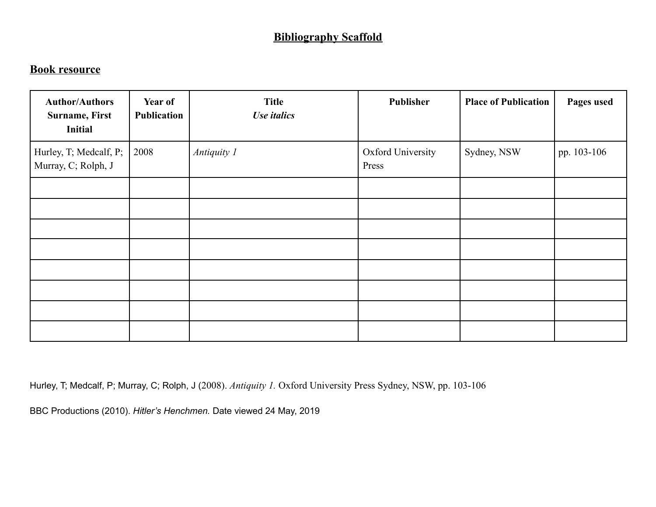## **Bibliography Scaffold**

## **Book resource**

| <b>Author/Authors</b><br><b>Surname, First</b><br><b>Initial</b> | Year of<br>Publication | <b>Title</b><br>Use italics | Publisher                         | <b>Place of Publication</b> | Pages used  |
|------------------------------------------------------------------|------------------------|-----------------------------|-----------------------------------|-----------------------------|-------------|
| Hurley, T; Medcalf, P;<br>Murray, C; Rolph, J                    | 2008                   | Antiquity 1                 | <b>Oxford University</b><br>Press | Sydney, NSW                 | pp. 103-106 |
|                                                                  |                        |                             |                                   |                             |             |
|                                                                  |                        |                             |                                   |                             |             |
|                                                                  |                        |                             |                                   |                             |             |
|                                                                  |                        |                             |                                   |                             |             |
|                                                                  |                        |                             |                                   |                             |             |
|                                                                  |                        |                             |                                   |                             |             |
|                                                                  |                        |                             |                                   |                             |             |
|                                                                  |                        |                             |                                   |                             |             |

Hurley, T; Medcalf, P; Murray, C; Rolph, J (2008). *Antiquity 1.* Oxford University Press Sydney, NSW, pp. 103-106

BBC Productions (2010). *Hitler's Henchmen.* Date viewed 24 May, 2019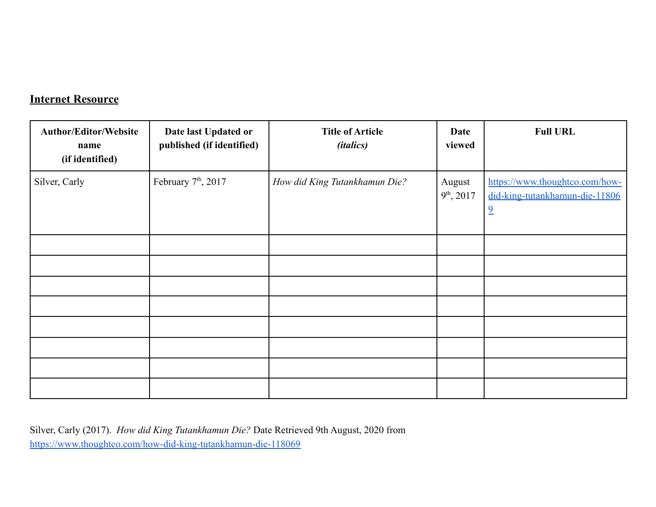## **Internet Resource**

| <b>Author/Editor/Website</b><br>name<br>(if identified) | Date last Updated or<br>published (if identified) | <b>Title of Article</b><br><i>(italics)</i> | Date<br>viewed         | <b>Full URL</b>                                                                    |
|---------------------------------------------------------|---------------------------------------------------|---------------------------------------------|------------------------|------------------------------------------------------------------------------------|
| Silver, Carly                                           | February 7 <sup>th</sup> , 2017                   | How did King Tutankhamun Die?               | August<br>$9th$ , 2017 | https://www.thoughtco.com/how-<br>did-king-tutankhamun-die-11806<br>$\overline{2}$ |
|                                                         |                                                   |                                             |                        |                                                                                    |
|                                                         |                                                   |                                             |                        |                                                                                    |
|                                                         |                                                   |                                             |                        |                                                                                    |
|                                                         |                                                   |                                             |                        |                                                                                    |
|                                                         |                                                   |                                             |                        |                                                                                    |
|                                                         |                                                   |                                             |                        |                                                                                    |
|                                                         |                                                   |                                             |                        |                                                                                    |
|                                                         |                                                   |                                             |                        |                                                                                    |

Silver, Carly (2017). *How did King Tutankhamun Die?* Date Retrieved 9th August, 2020 from <https://www.thoughtco.com/how-did-king-tutankhamun-die-118069>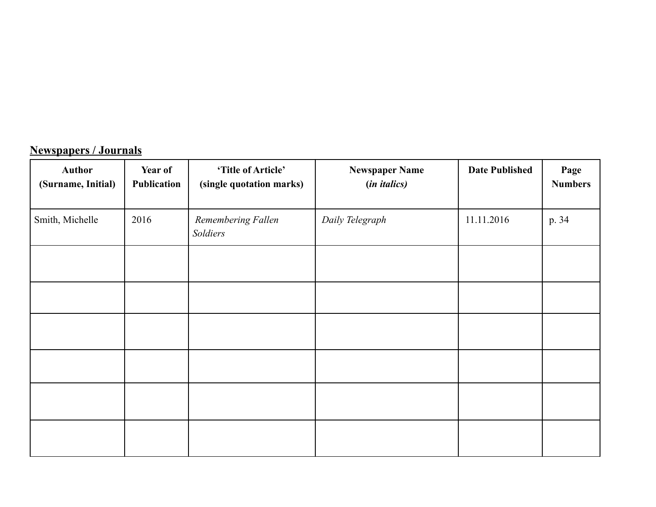## **Newspapers / Journals**

| <b>Author</b><br>(Surname, Initial) | Year of<br>Publication | 'Title of Article'<br>(single quotation marks) | <b>Newspaper Name</b><br>(in italics) | <b>Date Published</b> | Page<br><b>Numbers</b> |
|-------------------------------------|------------------------|------------------------------------------------|---------------------------------------|-----------------------|------------------------|
| Smith, Michelle                     | 2016                   | Remembering Fallen<br>Soldiers                 | Daily Telegraph                       | 11.11.2016            | p. 34                  |
|                                     |                        |                                                |                                       |                       |                        |
|                                     |                        |                                                |                                       |                       |                        |
|                                     |                        |                                                |                                       |                       |                        |
|                                     |                        |                                                |                                       |                       |                        |
|                                     |                        |                                                |                                       |                       |                        |
|                                     |                        |                                                |                                       |                       |                        |